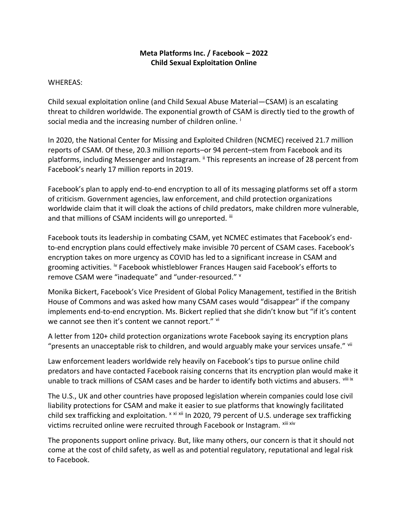## **Meta Platforms Inc. / Facebook – 2022 Child Sexual Exploitation Online**

## WHEREAS:

Child sexual exploitation online (and Child Sexual Abuse Material—CSAM) is an escalating threat to children worldwide. The exponential growth of CSAM is directly tied to the growth of social media and the increasing number of children online.

In 2020, the National Center for Missing and Exploited Children (NCMEC) received 21.7 million reports of CSAM. Of these, 20.3 million reports–or 94 percent–stem from Facebook and its platforms, including Messenger and Instagram. II This represents an increase of 28 percent from Facebook's nearly 17 million reports in 2019.

Facebook's plan to apply end-to-end encryption to all of its messaging platforms set off a storm of criticism. Government agencies, law enforcement, and child protection organizations worldwide claim that it will cloak the actions of child predators, make children more vulnerable, and that millions of CSAM incidents will go unreported. iii

Facebook touts its leadership in combating CSAM, yet NCMEC estimates that Facebook's endto-end encryption plans could effectively make invisible 70 percent of CSAM cases. Facebook's encryption takes on more urgency as COVID has led to a significant increase in CSAM and grooming activities. <sup>iv</sup> Facebook whistleblower Frances Haugen said Facebook's efforts to remove CSAM were "inadequate" and "under-resourced." v

Monika Bickert, Facebook's Vice President of Global Policy Management, testified in the British House of Commons and was asked how many CSAM cases would "disappear" if the company implements end-to-end encryption. Ms. Bickert replied that she didn't know but "if it's content we cannot see then it's content we cannot report." vi

A letter from 120+ child protection organizations wrote Facebook saying its encryption plans "presents an unacceptable risk to children, and would arguably make your services unsafe." vii

Law enforcement leaders worldwide rely heavily on Facebook's tips to pursue online child predators and have contacted Facebook raising concerns that its encryption plan would make it unable to track millions of CSAM cases and be harder to identify both victims and abusers. Vili ix

The U.S., UK and other countries have proposed legislation wherein companies could lose civil liability protections for CSAM and make it easier to sue platforms that knowingly facilitated child sex trafficking and exploitation. x xi xii In 2020, 79 percent of U.S. underage sex trafficking victims recruited online were recruited through Facebook or Instagram. Xiii xiv

The proponents support online privacy. But, like many others, our concern is that it should not come at the cost of child safety, as well as and potential regulatory, reputational and legal risk to Facebook.